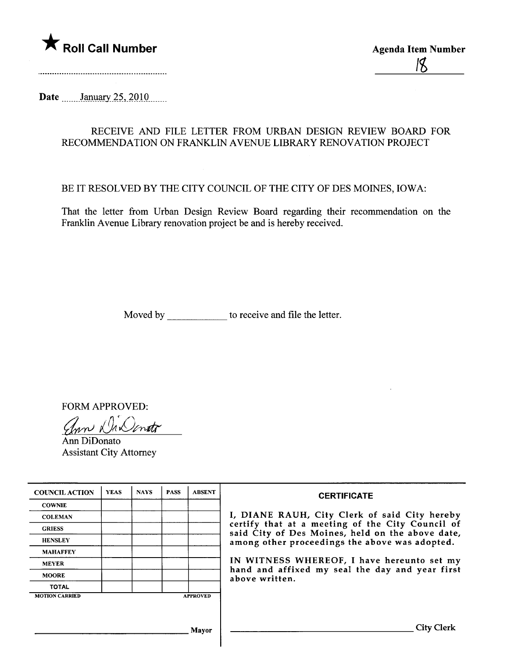

Date .......January 25, 2010

## RECEIVE AND FILE LETTER FROM URBAN DESIGN REVIEW BOARD FOR RECOMMENDATION ON FRANKLIN AVENUE LIBRARY RENOVATION PROJECT

## BE IT RESOLVED BY THE CITY COUNCIL OF THE CITY OF DES MOINES, IOWA:

That the letter from Urban Design Review Board regarding their recommendation on the Franklin Avenue Library renovation project be and is hereby received.

Moved by \_\_\_\_\_\_\_\_\_\_\_\_\_\_ to receive and file the letter.

FORM APPROVED:

Unn Na Nonato

Assistant City Attorney

| <b>COUNCIL ACTION</b> | <b>YEAS</b> | <b>NAYS</b> | <b>PASS</b> | <b>ABSENT</b>   | <b>CERTIFICATE</b>                                                                                                                                                                                                                                                                                                         |
|-----------------------|-------------|-------------|-------------|-----------------|----------------------------------------------------------------------------------------------------------------------------------------------------------------------------------------------------------------------------------------------------------------------------------------------------------------------------|
| <b>COWNIE</b>         |             |             |             |                 | I, DIANE RAUH, City Clerk of said City hereby<br>certify that at a meeting of the City Council of<br>said City of Des Moines, held on the above date,<br>among other proceedings the above was adopted.<br>IN WITNESS WHEREOF, I have hereunto set my<br>hand and affixed my seal the day and year first<br>above written. |
| <b>COLEMAN</b>        |             |             |             |                 |                                                                                                                                                                                                                                                                                                                            |
| <b>GRIESS</b>         |             |             |             |                 |                                                                                                                                                                                                                                                                                                                            |
| <b>HENSLEY</b>        |             |             |             |                 |                                                                                                                                                                                                                                                                                                                            |
| <b>MAHAFFEY</b>       |             |             |             |                 |                                                                                                                                                                                                                                                                                                                            |
| <b>MEYER</b>          |             |             |             |                 |                                                                                                                                                                                                                                                                                                                            |
| <b>MOORE</b>          |             |             |             |                 |                                                                                                                                                                                                                                                                                                                            |
| <b>TOTAL</b>          |             |             |             |                 |                                                                                                                                                                                                                                                                                                                            |
| <b>MOTION CARRIED</b> |             |             |             | <b>APPROVED</b> |                                                                                                                                                                                                                                                                                                                            |
|                       |             |             |             |                 |                                                                                                                                                                                                                                                                                                                            |
| Mayor                 |             |             |             |                 |                                                                                                                                                                                                                                                                                                                            |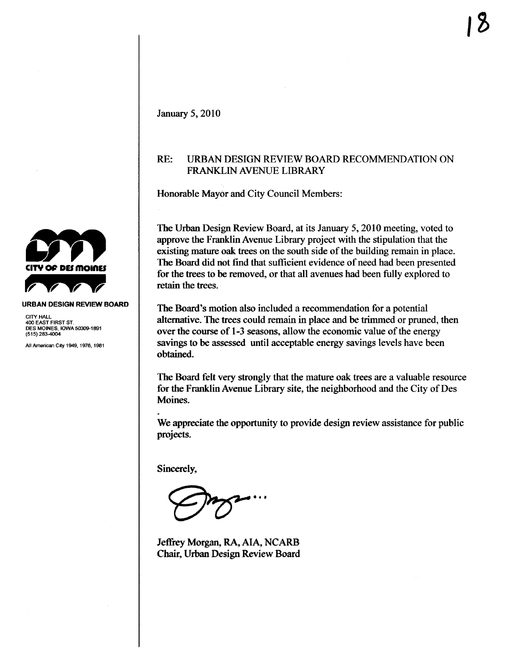## RE: URBAN DESIGN REVIEW BOARD RECOMMENDATION ON FRANKLIN AVENUE LIBRARY

Honorable Mayor and City Council Members:

The Urban Design Review Board, at its January 5, 2010 meeting, voted to approve the Franklin Avenue Library project with the stipulation that the existing matue oak trees on the south side of the building remain in place. The Board did not find that sufficient evidence of need had been presented for the trees to be removed, or that all avenues had been fully explored to retain the trees.

The Board's motion also included a recommendation for a potential alternative. The trees could remain in place and be trimmed or pruned, then over the course of 1-3 seasons, allow the economic value of the energy savings to be assessed until acceptable energy savings levels have been obtained.

The Board felt very strongly that the mature oak trees are a valuable resource for the Franklin Avenue Library site, the neighborhood and the City of Des Moines.

We appreciate the opportunity to provide design review assistance for public projects.

Sincerely,

.. .

Jeffrey Morgan, RA, AIA, NCARB Chair, Urban Design Review Board



CITY HALL 400 EAST FIRST ST. DES MOINES, IOWA 50309-1891<br>(515) 283-4004

All American City 1949, 1976, 1981